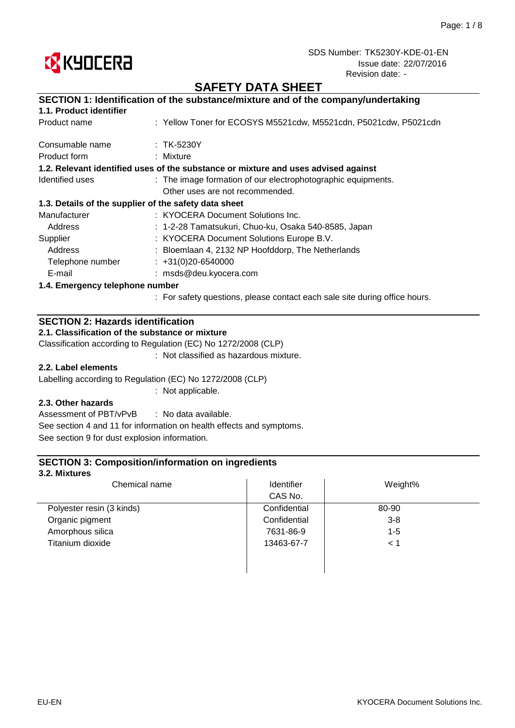

## **SAFETY DATA SHEET**

|                                                       | SECTION 1: Identification of the substance/mixture and of the company/undertaking  |  |  |  |
|-------------------------------------------------------|------------------------------------------------------------------------------------|--|--|--|
| 1.1. Product identifier                               |                                                                                    |  |  |  |
| Product name                                          | : Yellow Toner for ECOSYS M5521cdw, M5521cdn, P5021cdw, P5021cdn                   |  |  |  |
| Consumable name                                       | $:$ TK-5230Y                                                                       |  |  |  |
| Product form                                          | : Mixture                                                                          |  |  |  |
|                                                       | 1.2. Relevant identified uses of the substance or mixture and uses advised against |  |  |  |
| Identified uses                                       | : The image formation of our electrophotographic equipments.                       |  |  |  |
|                                                       | Other uses are not recommended.                                                    |  |  |  |
| 1.3. Details of the supplier of the safety data sheet |                                                                                    |  |  |  |
| Manufacturer                                          | : KYOCERA Document Solutions Inc.                                                  |  |  |  |
| Address                                               | : 1-2-28 Tamatsukuri, Chuo-ku, Osaka 540-8585, Japan                               |  |  |  |
| Supplier                                              | : KYOCERA Document Solutions Europe B.V.                                           |  |  |  |
| Address                                               | : Bloemlaan 4, 2132 NP Hoofddorp, The Netherlands                                  |  |  |  |
| Telephone number                                      | $: +31(0)20 - 6540000$                                                             |  |  |  |
| E-mail                                                | : msds@deu.kyocera.com                                                             |  |  |  |
| 1.4. Emergency telephone number                       |                                                                                    |  |  |  |
|                                                       |                                                                                    |  |  |  |

: For safety questions, please contact each sale site during office hours.

## **SECTION 2: Hazards identification**

**2.1. Classification of the substance or mixture**

Classification according to Regulation (EC) No 1272/2008 (CLP)

: Not classified as hazardous mixture.

### **2.2. Label elements**

Labelling according to Regulation (EC) No 1272/2008 (CLP)

: Not applicable.

### **2.3. Other hazards**

: No data available. Assessment of PBT/vPvB See section 4 and 11 for information on health effects and symptoms. See section 9 for dust explosion information.

### **SECTION 3: Composition/information on ingredients**

#### **3.2. Mixtures**

| Chemical name             | Identifier   | Weight% |  |
|---------------------------|--------------|---------|--|
|                           | CAS No.      |         |  |
| Polyester resin (3 kinds) | Confidential | 80-90   |  |
| Organic pigment           | Confidential | $3 - 8$ |  |
| Amorphous silica          | 7631-86-9    | $1 - 5$ |  |
| Titanium dioxide          | 13463-67-7   | < 1     |  |
|                           |              |         |  |
|                           |              |         |  |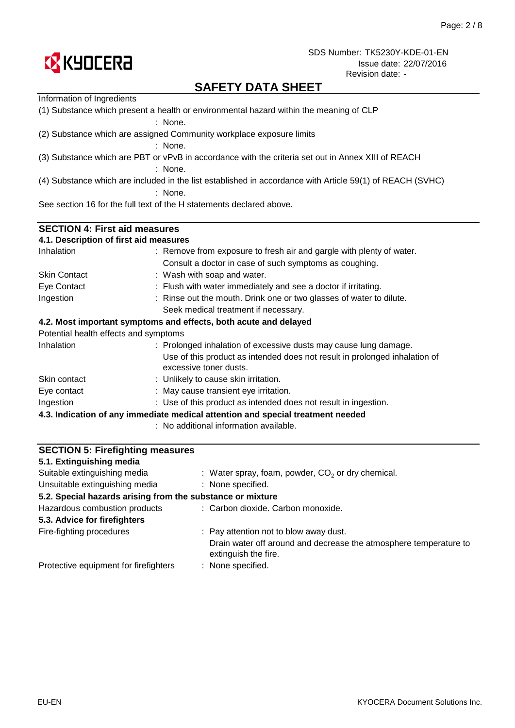

## **SAFETY DATA SHEET**

| Information of Ingredients                                                                        |                                                                                                           |  |  |  |  |
|---------------------------------------------------------------------------------------------------|-----------------------------------------------------------------------------------------------------------|--|--|--|--|
| (1) Substance which present a health or environmental hazard within the meaning of CLP<br>: None. |                                                                                                           |  |  |  |  |
|                                                                                                   | (2) Substance which are assigned Community workplace exposure limits<br>: None.                           |  |  |  |  |
|                                                                                                   | (3) Substance which are PBT or vPvB in accordance with the criteria set out in Annex XIII of REACH        |  |  |  |  |
|                                                                                                   |                                                                                                           |  |  |  |  |
|                                                                                                   | : None.                                                                                                   |  |  |  |  |
|                                                                                                   | (4) Substance which are included in the list established in accordance with Article 59(1) of REACH (SVHC) |  |  |  |  |
|                                                                                                   | : None.                                                                                                   |  |  |  |  |
|                                                                                                   | See section 16 for the full text of the H statements declared above.                                      |  |  |  |  |
|                                                                                                   |                                                                                                           |  |  |  |  |
| <b>SECTION 4: First aid measures</b>                                                              |                                                                                                           |  |  |  |  |
| 4.1. Description of first aid measures                                                            |                                                                                                           |  |  |  |  |
| Inhalation                                                                                        | : Remove from exposure to fresh air and gargle with plenty of water.                                      |  |  |  |  |
|                                                                                                   | Consult a doctor in case of such symptoms as coughing.                                                    |  |  |  |  |
| <b>Skin Contact</b>                                                                               | : Wash with soap and water.                                                                               |  |  |  |  |
| Eye Contact                                                                                       | : Flush with water immediately and see a doctor if irritating.                                            |  |  |  |  |
| Ingestion                                                                                         | : Rinse out the mouth. Drink one or two glasses of water to dilute.                                       |  |  |  |  |
|                                                                                                   | Seek medical treatment if necessary.                                                                      |  |  |  |  |
|                                                                                                   | 4.2. Most important symptoms and effects, both acute and delayed                                          |  |  |  |  |
| Potential health effects and symptoms                                                             |                                                                                                           |  |  |  |  |
| Inhalation                                                                                        | : Prolonged inhalation of excessive dusts may cause lung damage.                                          |  |  |  |  |
|                                                                                                   | Use of this product as intended does not result in prolonged inhalation of<br>excessive toner dusts.      |  |  |  |  |
| Skin contact                                                                                      | : Unlikely to cause skin irritation.                                                                      |  |  |  |  |
| Eye contact                                                                                       | : May cause transient eye irritation.                                                                     |  |  |  |  |
| Ingestion                                                                                         | : Use of this product as intended does not result in ingestion.                                           |  |  |  |  |
|                                                                                                   | 4.3. Indication of any immediate medical attention and special treatment needed                           |  |  |  |  |
|                                                                                                   | : No additional information available.                                                                    |  |  |  |  |
|                                                                                                   |                                                                                                           |  |  |  |  |
| <b>SECTION 5: Firefighting measures</b>                                                           |                                                                                                           |  |  |  |  |
| 5.1. Extinguishing media                                                                          |                                                                                                           |  |  |  |  |

: None specified.

: None specified.

extinguish the fire.

Fire-fighting procedures **Pay attention not to blow away dust.** Pay attention not to blow away dust.

**5.2. Special hazards arising from the substance or mixture**

 $:$  Water spray, foam, powder,  $CO<sub>2</sub>$  or dry chemical.

Drain water off around and decrease the atmosphere temperature to

: Carbon dioxide. Carbon monoxide.

Unsuitable extinguishing media

Hazardous combustion products

**5.3. Advice for firefighters**

Protective equipment for firefighters

Suitable extinguishing media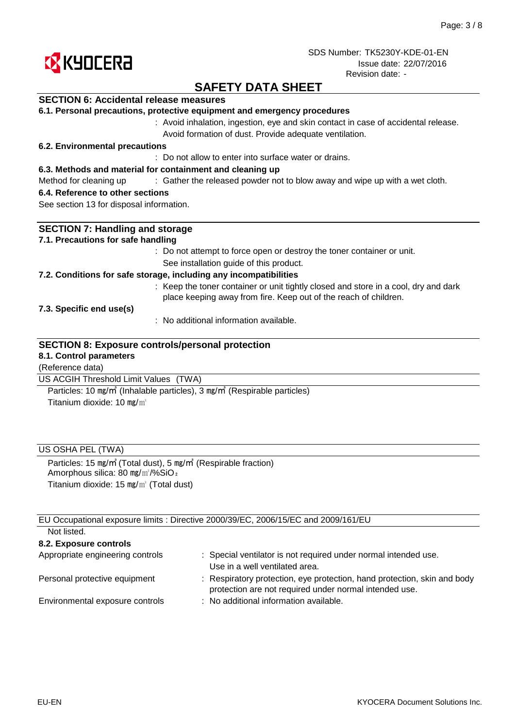

## **SAFETY DATA SHEET**

### **SECTION 6: Accidental release measures**

|  |  |  |  |  |  | 6.1. Personal precautions, protective equipment and emergency procedures |
|--|--|--|--|--|--|--------------------------------------------------------------------------|
|--|--|--|--|--|--|--------------------------------------------------------------------------|

: Avoid inhalation, ingestion, eye and skin contact in case of accidental release. Avoid formation of dust. Provide adequate ventilation.

#### **6.2. Environmental precautions**

: Do not allow to enter into surface water or drains.

#### **6.3. Methods and material for containment and cleaning up**

Method for cleaning up exclosive of the released powder not to blow away and wipe up with a wet cloth.

#### **6.4. Reference to other sections**

See section 13 for disposal information.

| <b>SECTION 7: Handling and storage</b>                                                                                                                  |
|---------------------------------------------------------------------------------------------------------------------------------------------------------|
| 7.1. Precautions for safe handling                                                                                                                      |
| : Do not attempt to force open or destroy the toner container or unit.                                                                                  |
| See installation guide of this product.                                                                                                                 |
| 7.2. Conditions for safe storage, including any incompatibilities                                                                                       |
| : Keep the toner container or unit tightly closed and store in a cool, dry and dark<br>place keeping away from fire. Keep out of the reach of children. |
| 7.3. Specific end use(s)                                                                                                                                |
| : No additional information available.                                                                                                                  |
| <b>SECTION 8: Exposure controls/personal protection</b>                                                                                                 |
| 8.1. Control parameters                                                                                                                                 |
| (Reference data)                                                                                                                                        |
| US ACGIH Threshold Limit Values (TWA)                                                                                                                   |

Titanium dioxide: 10 mg/m<sup>3</sup> Particles: 10 ㎎/㎥ (Inhalable particles), 3 ㎎/㎥ (Respirable particles)

### US OSHA PEL (TWA)

Particles: 15 ㎎/㎥ (Total dust), 5 ㎎/㎥ (Respirable fraction) Amorphous silica: 80 mg/m<sup>3</sup>/%SiO<sub>2</sub> Titanium dioxide: 15 ㎎/㎥ (Total dust)

EU Occupational exposure limits : Directive 2000/39/EC, 2006/15/EC and 2009/161/EU Not listed.

| TVUL IISLUU.                     |                                                                                                                                    |
|----------------------------------|------------------------------------------------------------------------------------------------------------------------------------|
| 8.2. Exposure controls           |                                                                                                                                    |
| Appropriate engineering controls | : Special ventilator is not required under normal intended use.<br>Use in a well ventilated area.                                  |
| Personal protective equipment    | : Respiratory protection, eye protection, hand protection, skin and body<br>protection are not required under normal intended use. |
| Environmental exposure controls  | : No additional information available.                                                                                             |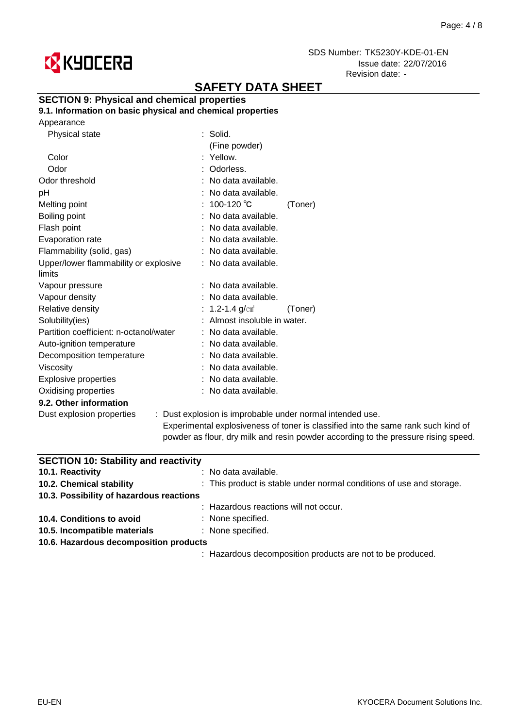

# **SAFETY DATA SHEET**

### **SECTION 9: Physical and chemical properties**

**9.1. Information on basic physical and chemical properties**

| Appearance |
|------------|
|------------|

| Physical state                         | $:$ Solid.                   |                                                                                                                                                                                                                                  |
|----------------------------------------|------------------------------|----------------------------------------------------------------------------------------------------------------------------------------------------------------------------------------------------------------------------------|
|                                        | (Fine powder)                |                                                                                                                                                                                                                                  |
| Color                                  | : Yellow.                    |                                                                                                                                                                                                                                  |
| Odor                                   | : Odorless.                  |                                                                                                                                                                                                                                  |
| Odor threshold                         | : No data available.         |                                                                                                                                                                                                                                  |
| рH                                     | : No data available.         |                                                                                                                                                                                                                                  |
| Melting point                          | : 100-120 ℃                  | (Toner)                                                                                                                                                                                                                          |
| Boiling point                          | : No data available.         |                                                                                                                                                                                                                                  |
| Flash point                            | : No data available.         |                                                                                                                                                                                                                                  |
| Evaporation rate                       | : No data available.         |                                                                                                                                                                                                                                  |
| Flammability (solid, gas)              | : No data available.         |                                                                                                                                                                                                                                  |
| Upper/lower flammability or explosive  | : No data available.         |                                                                                                                                                                                                                                  |
| limits                                 |                              |                                                                                                                                                                                                                                  |
| Vapour pressure                        | : No data available.         |                                                                                                                                                                                                                                  |
| Vapour density                         | : No data available.         |                                                                                                                                                                                                                                  |
| Relative density                       | : 1.2-1.4 $g/cm^{3}$         | (Toner)                                                                                                                                                                                                                          |
| Solubility(ies)                        | : Almost insoluble in water. |                                                                                                                                                                                                                                  |
| Partition coefficient: n-octanol/water | : No data available.         |                                                                                                                                                                                                                                  |
| Auto-ignition temperature              | : No data available.         |                                                                                                                                                                                                                                  |
| Decomposition temperature              | : No data available.         |                                                                                                                                                                                                                                  |
| <b>Viscosity</b>                       | : No data available.         |                                                                                                                                                                                                                                  |
| <b>Explosive properties</b>            | : No data available.         |                                                                                                                                                                                                                                  |
| Oxidising properties                   | : No data available.         |                                                                                                                                                                                                                                  |
| 9.2. Other information                 |                              |                                                                                                                                                                                                                                  |
| Dust explosion properties              |                              | : Dust explosion is improbable under normal intended use.                                                                                                                                                                        |
|                                        |                              | . The contract of the contract of the contract of the contract of $\mathbf{P}$ . The contract of the contract of the contract of the contract of the contract of the contract of the contract of the contract of the contract of |

Experimental explosiveness of toner is classified into the same rank such kind of powder as flour, dry milk and resin powder according to the pressure rising speed.

| <b>SECTION 10: Stability and reactivity</b> |                                                                      |
|---------------------------------------------|----------------------------------------------------------------------|
| 10.1. Reactivity                            | : No data available.                                                 |
| 10.2. Chemical stability                    | : This product is stable under normal conditions of use and storage. |
| 10.3. Possibility of hazardous reactions    |                                                                      |
|                                             | : Hazardous reactions will not occur.                                |
| 10.4. Conditions to avoid                   | : None specified.                                                    |
| 10.5. Incompatible materials                | : None specified.                                                    |
| 10.6. Hazardous decomposition products      |                                                                      |
|                                             | : Hazardous decomposition products are not to be produced.           |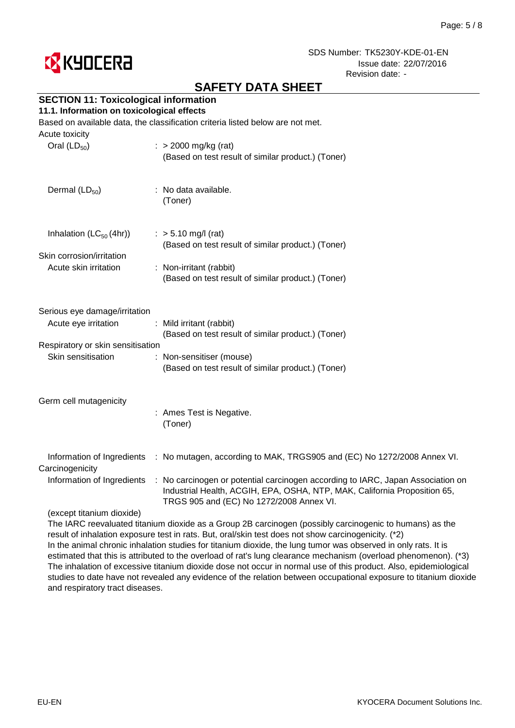

# **SAFETY DATA SHEET**

## **SECTION 11: Toxicological information**

#### **11.1. Information on toxicological effects**

Based on available data, the classification criteria listed below are not met.

| Acute toxicity<br>Oral $(LD_{50})$                                                                               | $:$ > 2000 mg/kg (rat)<br>(Based on test result of similar product.) (Toner)                                                                                                                                                                                                        |
|------------------------------------------------------------------------------------------------------------------|-------------------------------------------------------------------------------------------------------------------------------------------------------------------------------------------------------------------------------------------------------------------------------------|
| Dermal $(LD_{50})$                                                                                               | : No data available.<br>(Toner)                                                                                                                                                                                                                                                     |
| Inhalation $(LC_{50}(4hr))$<br>Skin corrosion/irritation<br>Acute skin irritation                                | $:$ > 5.10 mg/l (rat)<br>(Based on test result of similar product.) (Toner)<br>: Non-irritant (rabbit)<br>(Based on test result of similar product.) (Toner)                                                                                                                        |
| Serious eye damage/irritation<br>Acute eye irritation<br>Respiratory or skin sensitisation<br>Skin sensitisation | : Mild irritant (rabbit)<br>(Based on test result of similar product.) (Toner)<br>: Non-sensitiser (mouse)<br>(Based on test result of similar product.) (Toner)                                                                                                                    |
| Germ cell mutagenicity                                                                                           | : Ames Test is Negative.<br>(Toner)                                                                                                                                                                                                                                                 |
| Information of Ingredients<br>Carcinogenicity<br>Information of Ingredients<br>(except titanium dioxide)         | : No mutagen, according to MAK, TRGS905 and (EC) No 1272/2008 Annex VI.<br>: No carcinogen or potential carcinogen according to IARC, Japan Association on<br>Industrial Health, ACGIH, EPA, OSHA, NTP, MAK, California Proposition 65,<br>TRGS 905 and (EC) No 1272/2008 Annex VI. |
|                                                                                                                  |                                                                                                                                                                                                                                                                                     |

The IARC reevaluated titanium dioxide as a Group 2B carcinogen (possibly carcinogenic to humans) as the result of inhalation exposure test in rats. But, oral/skin test does not show carcinogenicity. (\*2) In the animal chronic inhalation studies for titanium dioxide, the lung tumor was observed in only rats. It is estimated that this is attributed to the overload of rat's lung clearance mechanism (overload phenomenon). (\*3) The inhalation of excessive titanium dioxide dose not occur in normal use of this product. Also, epidemiological studies to date have not revealed any evidence of the relation between occupational exposure to titanium dioxide and respiratory tract diseases.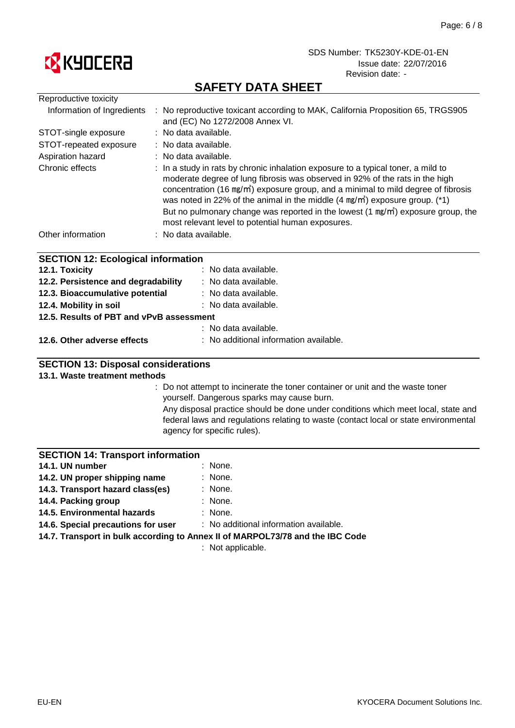

# **SAFETY DATA SHEET**

| Reproductive toxicity                     |                                                                                                                                                                                                                                                                                                                                                                                                                                                                                                                 |
|-------------------------------------------|-----------------------------------------------------------------------------------------------------------------------------------------------------------------------------------------------------------------------------------------------------------------------------------------------------------------------------------------------------------------------------------------------------------------------------------------------------------------------------------------------------------------|
| Information of Ingredients                | : No reproductive toxicant according to MAK, California Proposition 65, TRGS905<br>and (EC) No 1272/2008 Annex VI.                                                                                                                                                                                                                                                                                                                                                                                              |
| STOT-single exposure                      | : No data available.                                                                                                                                                                                                                                                                                                                                                                                                                                                                                            |
| STOT-repeated exposure                    | : No data available.                                                                                                                                                                                                                                                                                                                                                                                                                                                                                            |
| Aspiration hazard                         | : No data available.                                                                                                                                                                                                                                                                                                                                                                                                                                                                                            |
| Chronic effects                           | : In a study in rats by chronic inhalation exposure to a typical toner, a mild to<br>moderate degree of lung fibrosis was observed in 92% of the rats in the high<br>concentration (16 mg/m <sup>3</sup> ) exposure group, and a minimal to mild degree of fibrosis<br>was noted in 22% of the animal in the middle $(4 \text{ mg/m})$ exposure group. (*1)<br>But no pulmonary change was reported in the lowest $(1 \text{ mg/m}^3)$ exposure group, the<br>most relevant level to potential human exposures. |
| Other information                         | : No data available.                                                                                                                                                                                                                                                                                                                                                                                                                                                                                            |
| <b>SECTION 12: Ecological information</b> |                                                                                                                                                                                                                                                                                                                                                                                                                                                                                                                 |
| 12.1. Toxicity                            | : No data available.                                                                                                                                                                                                                                                                                                                                                                                                                                                                                            |
| 12.2. Persistence and degradability       | : No data available.                                                                                                                                                                                                                                                                                                                                                                                                                                                                                            |

| <b>ELL.</b> I CISISTER AND CHILLY        | . TVO GULU UVUHUDIO.                   |
|------------------------------------------|----------------------------------------|
| 12.3. Bioaccumulative potential          | : No data available.                   |
| 12.4. Mobility in soil                   | $:$ No data available.                 |
| 12.5. Results of PBT and vPvB assessment |                                        |
|                                          | : No data available.                   |
| 12.6. Other adverse effects              | : No additional information available. |

### **SECTION 13: Disposal considerations**

### **13.1. Waste treatment methods**

: Do not attempt to incinerate the toner container or unit and the waste toner yourself. Dangerous sparks may cause burn.

Any disposal practice should be done under conditions which meet local, state and federal laws and regulations relating to waste (contact local or state environmental agency for specific rules).

#### **SECTION 14: Transport information**

| 14.1. UN number                  | : None.   |
|----------------------------------|-----------|
| 14.2. UN proper shipping name    | $:$ None. |
| 14.3. Transport hazard class(es) | $:$ None. |
| 14.4. Packing group              | $:$ None. |

- : None. **14.5. Environmental hazards**
- **14.6. Special precautions for user**

: No additional information available.

**14.7. Transport in bulk according to Annex II of MARPOL73/78 and the IBC Code**

: Not applicable.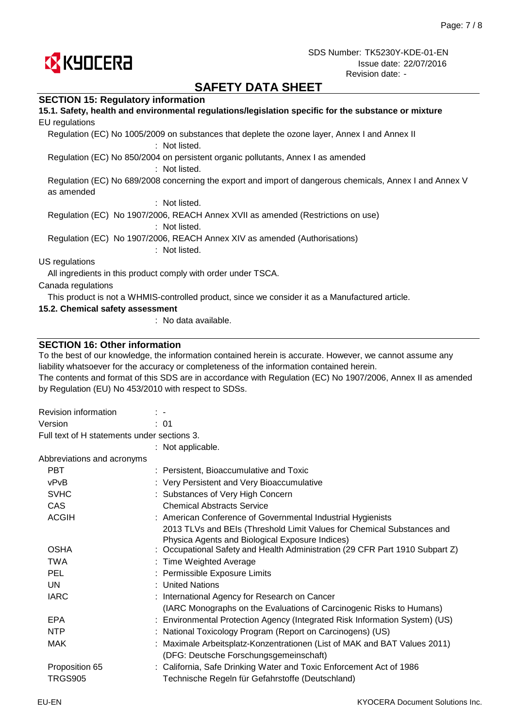

## **SAFETY DATA SHEET**

#### **SECTION 15: Regulatory information**

| 15.1. Safety, health and environmental regulations/legislation specific for the substance or mixture<br>EU regulations |
|------------------------------------------------------------------------------------------------------------------------|
| Regulation (EC) No 1005/2009 on substances that deplete the ozone layer, Annex I and Annex II<br>: Not listed.         |
| Regulation (EC) No 850/2004 on persistent organic pollutants, Annex I as amended<br>: Not listed.                      |
| Regulation (EC) No 689/2008 concerning the export and import of dangerous chemicals, Annex I and Annex V<br>as amended |
| : Not listed.                                                                                                          |
| Regulation (EC) No 1907/2006, REACH Annex XVII as amended (Restrictions on use)<br>: Not listed.                       |
| Regulation (EC) No 1907/2006, REACH Annex XIV as amended (Authorisations)<br>: Not listed.                             |
| US regulations                                                                                                         |
| All ingredients in this product comply with order under TSCA.                                                          |
| Canada regulations                                                                                                     |
| This product is not a WHMIS-controlled product, since we consider it as a Manufactured article.                        |
| 15.2. Chemical safety assessment                                                                                       |

: No data available.

#### **SECTION 16: Other information**

To the best of our knowledge, the information contained herein is accurate. However, we cannot assume any liability whatsoever for the accuracy or completeness of the information contained herein.

The contents and format of this SDS are in accordance with Regulation (EC) No 1907/2006, Annex II as amended by Regulation (EU) No 453/2010 with respect to SDSs.

| <b>Revision information</b>                 | $\mathcal{L}$                                                                                                                   |  |
|---------------------------------------------|---------------------------------------------------------------------------------------------------------------------------------|--|
| Version                                     | : 01                                                                                                                            |  |
| Full text of H statements under sections 3. |                                                                                                                                 |  |
|                                             | : Not applicable.                                                                                                               |  |
| Abbreviations and acronyms                  |                                                                                                                                 |  |
| <b>PBT</b>                                  | : Persistent, Bioaccumulative and Toxic                                                                                         |  |
| vPvB                                        | : Very Persistent and Very Bioaccumulative                                                                                      |  |
| <b>SVHC</b>                                 | : Substances of Very High Concern                                                                                               |  |
| CAS                                         | <b>Chemical Abstracts Service</b>                                                                                               |  |
| <b>ACGIH</b>                                | : American Conference of Governmental Industrial Hygienists                                                                     |  |
|                                             | 2013 TLVs and BEIs (Threshold Limit Values for Chemical Substances and                                                          |  |
| <b>OSHA</b>                                 | Physica Agents and Biological Exposure Indices)<br>: Occupational Safety and Health Administration (29 CFR Part 1910 Subpart Z) |  |
| <b>TWA</b>                                  | : Time Weighted Average                                                                                                         |  |
| <b>PEL</b>                                  | : Permissible Exposure Limits                                                                                                   |  |
| UN.                                         | : United Nations                                                                                                                |  |
| <b>IARC</b>                                 | : International Agency for Research on Cancer                                                                                   |  |
|                                             | (IARC Monographs on the Evaluations of Carcinogenic Risks to Humans)                                                            |  |
| <b>EPA</b>                                  | : Environmental Protection Agency (Integrated Risk Information System) (US)                                                     |  |
| <b>NTP</b>                                  | : National Toxicology Program (Report on Carcinogens) (US)                                                                      |  |
| <b>MAK</b>                                  | : Maximale Arbeitsplatz-Konzentrationen (List of MAK and BAT Values 2011)                                                       |  |
|                                             | (DFG: Deutsche Forschungsgemeinschaft)                                                                                          |  |
| Proposition 65                              | : California, Safe Drinking Water and Toxic Enforcement Act of 1986                                                             |  |
| <b>TRGS905</b>                              | Technische Regeln für Gefahrstoffe (Deutschland)                                                                                |  |